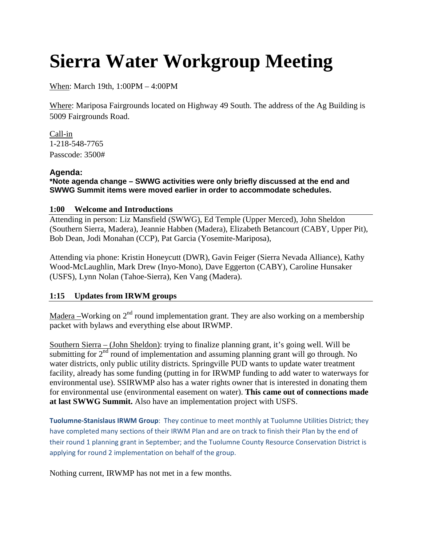# **Sierra Water Workgroup Meeting**

When : March 19th, 1:00PM – 4:00PM

Where: Mariposa Fairgrounds located on Highway 49 South. The address of the Ag Building is 5009 Fairgrounds Road.

1-218-548-7765 Call-in Passcode: 3500#

# **Agenda:**

**\*Note agenda change – SWWG activities were only briefly discussed at the end and SWWG Summit items were moved earlier in order to accommodate schedules.** 

# **1:00 Welcome and Introductions**

Attending in person: Liz Mansfield (SWWG), Ed Temple (Upper Merced), John Sheldon (Southern Sierra, Madera), Jeannie Habben (Madera), Elizabeth Betancourt (CABY, Upper Pit), Bob Dean, Jodi Monahan (CCP), Pat Garcia (Yosemite-Mariposa),

Attending via phone: Kristin Honeycutt (DWR), Gavin Feiger (Sierra Nevada Alliance), Kathy Wood-McLaughlin, Mark Drew (Inyo-Mono), Dave Eggerton (CABY), Caroline Hunsaker (USFS), Lynn Nolan (Tahoe-Sierra), Ken Vang (Madera).

# **1:15 Updates from IRWM groups**

Madera –Working on  $2<sup>nd</sup>$  round implementation grant. They are also working on a membership packet with bylaws and everything else about IRWMP.

Southern Sierra – (John Sheldon): trying to finalize planning grant, it's going well. Will be submitting for  $2<sup>nd</sup>$  round of implementation and assuming planning grant will go through. No water districts, only public utility districts. Springville PUD wants to update water treatment facility, already has some funding (putting in for IRWMP funding to add water to waterways for environmental use). SSIRWMP also has a water rights owner that is interested in donating them for environmental use (environmental easement on water). **This came out of connections made at last SWWG Summit.** Also have an implementation project with USFS.

**Tuolumne-Stanislaus IRWM Group**: They continue to meet monthly at Tuolumne Utilities District; they have completed many sections of their IRWM Plan and are on track to finish their Plan by the end of their round 1 planning grant in September; and the Tuolumne County Resource Conservation District is applying for round 2 implementation on behalf of the group.

Nothing current, IRWMP has not met in a few months.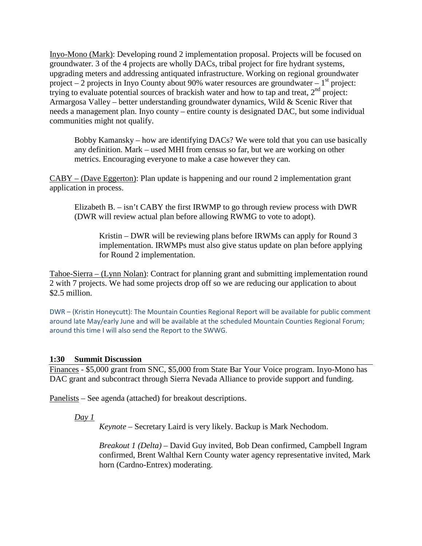Inyo-Mono (Mark): Developing round 2 implementation proposal. Projects will be focused on groundwater. 3 of the 4 projects are wholly DACs, tribal project for fire hydrant systems, upgrading meters and addressing antiquated infrastructure. Working on regional groundwater project – 2 projects in Inyo County about 90% water resources are groundwater –  $1<sup>st</sup>$  project: trying to evaluate potential sources of brackish water and how to tap and treat, 2<sup>nd</sup> project: Armargosa Valley – better understanding groundwater dynamics, Wild & Scenic River that needs a management plan. Inyo county – entire county is designated DAC, but some individual communities might not qualify.

Bobby Kamansky – how are identifying DACs? We were told that you can use basically any definition. Mark – used MHI from census so far, but we are working on other metrics. Encouraging everyone to make a case however they can.

CABY – (Dave Eggerton): Plan update is happening and our round 2 implementation grant application in process.

Elizabeth B. – isn't CABY the first IRWMP to go through review process with DWR (DWR will review actual plan before allowing RWMG to vote to adopt).

Kristin – DWR will be reviewing plans before IRWMs can apply for Round 3 implementation. IRWMPs must also give status update on plan before applying for Round 2 implementation.

Tahoe-Sierra – (Lynn Nolan): Contract for planning grant and submitting implementation round 2 with 7 projects. We had some projects drop off so we are reducing our application to about \$2.5 million.

DWR – (Kristin Honeycutt): The Mountain Counties Regional Report will be available for public comment around late May/early June and will be available at the scheduled Mountain Counties Regional Forum; around this time I will also send the Report to the SWWG.

#### **1:30 Summit Discussion**

Finances - \$5,000 grant from SNC, \$5,000 from State Bar Your Voice program. Inyo-Mono has DAC grant and subcontract through Sierra Nevada Alliance to provide support and funding.

Panelists – See agenda (attached) for breakout descriptions.

*Day 1*

*Keynote* – Secretary Laird is very likely. Backup is Mark Nechodom.

*Breakout 1 (Delta)* – David Guy invited, Bob Dean confirmed, Campbell Ingram confirmed, Brent Walthal Kern County water agency representative invited, Mark horn (Cardno-Entrex) moderating.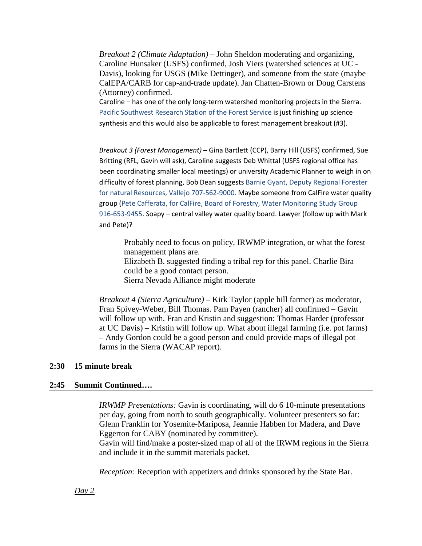*Breakout 2 (Climate Adaptation)* – John Sheldon moderating and organizing, Caroline Hunsaker (USFS) confirmed, Josh Viers (watershed sciences at UC - Davis), looking for USGS (Mike Dettinger), and someone from the state (maybe CalEPA/CARB for cap-and-trade update). Jan Chatten-Brown or Doug Carstens (Attorney) confirmed.

Caroline – has one of the only long-term watershed monitoring projects in the Sierra. Pacific Southwest Research Station of the Forest Service is just finishing up science synthesis and this would also be applicable to forest management breakout (#3).

*Breakout 3 (Forest Management)* – Gina Bartlett (CCP), Barry Hill (USFS) confirmed, Sue Britting (RFL, Gavin will ask), Caroline suggests Deb Whittal (USFS regional office has been coordinating smaller local meetings) or university Academic Planner to weigh in on difficulty of forest planning, Bob Dean suggests Barnie Gyant, Deputy Regional Forester for natural Resources, Vallejo 707-562-9000. Maybe someone from CalFire water quality group (Pete Cafferata, for CalFire, Board of Forestry, Water Monitoring Study Group 916-653-9455. Soapy – central valley water quality board. Lawyer (follow up with Mark and Pete)?

Probably need to focus on policy, IRWMP integration, or what the forest management plans are. Elizabeth B. suggested finding a tribal rep for this panel. Charlie Bira could be a good contact person. Sierra Nevada Alliance might moderate

*Breakout 4 (Sierra Agriculture)* – Kirk Taylor (apple hill farmer) as moderator, Fran Spivey-Weber, Bill Thomas. Pam Payen (rancher) all confirmed – Gavin will follow up with. Fran and Kristin and suggestion: Thomas Harder (professor at UC Davis) – Kristin will follow up. What about illegal farming (i.e. pot farms) – Andy Gordon could be a good person and could provide maps of illegal pot farms in the Sierra (WACAP report).

#### **2:30 15 minute break**

#### **2:45 Summit Continued….**

*IRWMP Presentations:* Gavin is coordinating, will do 6 10-minute presentations per day, going from north to south geographically. Volunteer presenters so far: Glenn Franklin for Yosemite-Mariposa, Jeannie Habben for Madera, and Dave Eggerton for CABY (nominated by committee).

Gavin will find/make a poster-sized map of all of the IRWM regions in the Sierra and include it in the summit materials packet.

*Reception:* Reception with appetizers and drinks sponsored by the State Bar.

#### *Day 2*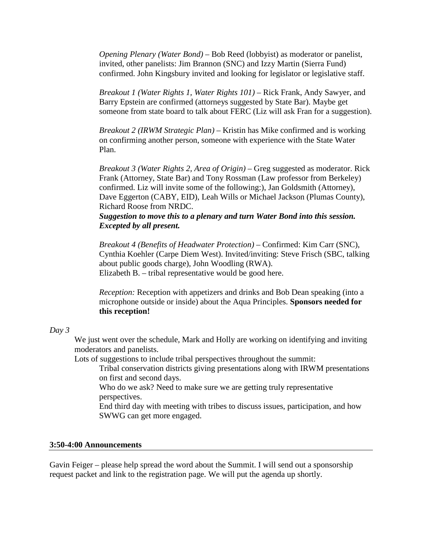*Opening Plenary (Water Bond) –* Bob Reed (lobbyist) as moderator or panelist*,* invited, other panelists: Jim Brannon (SNC) and Izzy Martin (Sierra Fund) confirmed. John Kingsbury invited and looking for legislator or legislative staff.

*Breakout 1 (Water Rights 1, Water Rights 101)* – Rick Frank, Andy Sawyer, and Barry Epstein are confirmed (attorneys suggested by State Bar). Maybe get someone from state board to talk about FERC (Liz will ask Fran for a suggestion).

*Breakout 2 (IRWM Strategic Plan)* – Kristin has Mike confirmed and is working on confirming another person, someone with experience with the State Water Plan.

*Breakout 3 (Water Rights 2, Area of Origin)* – Greg suggested as moderator. Rick Frank (Attorney, State Bar) and Tony Rossman (Law professor from Berkeley) confirmed. Liz will invite some of the following:), Jan Goldsmith (Attorney), Dave Eggerton (CABY, EID), Leah Wills or Michael Jackson (Plumas County), Richard Roose from NRDC.

### *Suggestion to move this to a plenary and turn Water Bond into this session. Excepted by all present.*

*Breakout 4 (Benefits of Headwater Protection)* – Confirmed: Kim Carr (SNC), Cynthia Koehler (Carpe Diem West). Invited/inviting: Steve Frisch (SBC, talking about public goods charge), John Woodling (RWA). Elizabeth B. – tribal representative would be good here.

*Reception:* Reception with appetizers and drinks and Bob Dean speaking (into a microphone outside or inside) about the Aqua Principles. **Sponsors needed for this reception!**

#### *Day 3*

We just went over the schedule, Mark and Holly are working on identifying and inviting moderators and panelists.

Lots of suggestions to include tribal perspectives throughout the summit:

Tribal conservation districts giving presentations along with IRWM presentations on first and second days.

Who do we ask? Need to make sure we are getting truly representative perspectives.

End third day with meeting with tribes to discuss issues, participation, and how SWWG can get more engaged.

### **3:50-4:00 Announcements**

Gavin Feiger – please help spread the word about the Summit. I will send out a sponsorship request packet and link to the registration page. We will put the agenda up shortly.